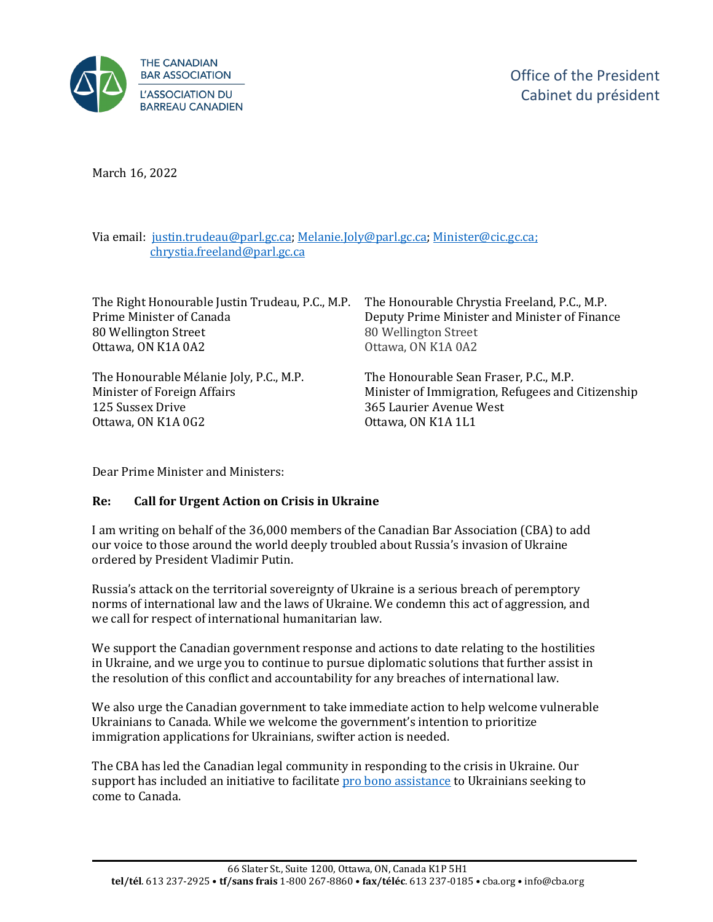

Office of the President Cabinet du président

March 16, 2022

Via email: [justin.trudeau@parl.gc.ca;](mailto:justin.trudeau@parl.gc.ca) [Melanie.Joly@parl.gc.ca;](mailto:Melanie.Joly@parl.gc.ca) [Minister@cic.gc.ca;](mailto: Minister@cic.gc.ca)  [chrystia.freeland@parl.gc.ca](mailto:chrystia.freeland@parl.gc.ca)

The Right Honourable Justin Trudeau, P.C., M.P. Prime Minister of Canada 80 Wellington Street Ottawa, ON K1A 0A2

The Honourable Mélanie Joly, P.C., M.P. Minister of Foreign Affairs 125 Sussex Drive Ottawa, ON K1A 0G2

The Honourable Chrystia Freeland, P.C., M.P. Deputy Prime Minister and Minister of Finance 80 Wellington Street Ottawa, ON K1A 0A2

The Honourable Sean Fraser, P.C., M.P. Minister of Immigration, Refugees and Citizenship 365 Laurier Avenue West Ottawa, ON K1A 1L1

Dear Prime Minister and Ministers:

## **Re: Call for Urgent Action on Crisis in Ukraine**

I am writing on behalf of the 36,000 members of the Canadian Bar Association (CBA) to add our voice to those around the world deeply troubled about Russia's invasion of Ukraine ordered by President Vladimir Putin.

Russia's attack on the territorial sovereignty of Ukraine is a serious breach of peremptory norms of international law and the laws of Ukraine. We condemn this act of aggression, and we call for respect of international humanitarian law.

We support the Canadian government response and actions to date relating to the hostilities in Ukraine, and we urge you to continue to pursue diplomatic solutions that further assist in the resolution of this conflict and accountability for any breaches of international law.

We also urge the Canadian government to take immediate action to help welcome vulnerable Ukrainians to Canada. While we welcome the government's intention to prioritize immigration applications for Ukrainians, swifter action is needed.

The CBA has led the Canadian legal community in responding to the crisis in Ukraine. Our support has included an initiative to facilitate pro [bono assistance](https://www.cba.org/For-The-Public/Crisis-in-Ukraine) to Ukrainians seeking to come to Canada.